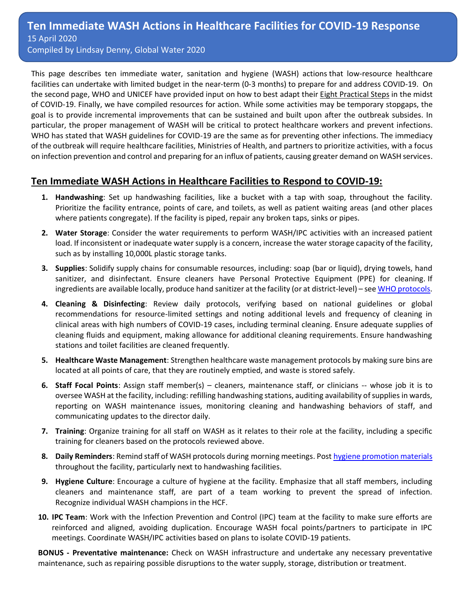This page describes ten immediate water, sanitation and hygiene (WASH) actions that low-resource healthcare facilities can undertake with limited budget in the near-term (0-3 months) to prepare for and address COVID-19. On the second page, WHO and UNICEF have provided input on how to best adapt their Eight [Practical Steps](https://www.washinhcf.org/wp-content/uploads/2019/04/2019_WASH-in-HCF-Practical-Solutions-for-Universal-Access-to-Quality-Care_2April-compressed.pdf) in the midst of COVID-19. Finally, we have compiled resources for action. While some activities may be temporary stopgaps, the goal is to provide incremental improvements that can be sustained and built upon after the outbreak subsides. In particular, the proper management of WASH will be critical to protect healthcare workers and prevent infections. WHO has stated that WASH guidelines for COVID-19 are the same as for preventing other infections. The immediacy of the outbreak will require healthcare facilities, Ministries of Health, and partners to prioritize activities, with a focus on infection prevention and control and preparing for an influx of patients, causing greater demand on WASH services.

### **Ten Immediate WASH Actions in Healthcare Facilities to Respond to COVID-19:**

- **1. Handwashing**: Set up handwashing facilities, like a bucket with a tap with soap, throughout the facility. Prioritize the facility entrance, points of care, and toilets, as well as patient waiting areas (and other places where patients congregate). If the facility is piped, repair any broken taps, sinks or pipes.
- **2. Water Storage**: Consider the water requirements to perform WASH/IPC activities with an increased patient load. If inconsistent or inadequate water supply is a concern, increase the water storage capacity of the facility, such as by installing 10,000L plastic storage tanks.
- **3. Supplies**: Solidify supply chains for consumable resources, including: soap (bar or liquid), drying towels, hand sanitizer, and disinfectant. Ensure cleaners have Personal Protective Equipment (PPE) for cleaning. If ingredients are available locally, produce hand sanitizer at the facility (or at district-level) – se[e WHO protocols.](https://www.who.int/gpsc/5may/Guide_to_Local_Production.pdf)
- **4. Cleaning & Disinfecting**: Review daily protocols, verifying based on national guidelines or global recommendations for resource-limited settings and noting additional levels and frequency of cleaning in clinical areas with high numbers of COVID-19 cases, including terminal cleaning. Ensure adequate supplies of cleaning fluids and equipment, making allowance for additional cleaning requirements. Ensure handwashing stations and toilet facilities are cleaned frequently.
- **5. Healthcare Waste Management**: Strengthen healthcare waste management protocols by making sure bins are located at all points of care, that they are routinely emptied, and waste is stored safely.
- **6. Staff Focal Points**: Assign staff member(s) cleaners, maintenance staff, or clinicians -- whose job it is to oversee WASH at the facility, including: refilling handwashing stations, auditing availability of supplies in wards, reporting on WASH maintenance issues, monitoring cleaning and handwashing behaviors of staff, and communicating updates to the director daily.
- **7. Training**: Organize training for all staff on WASH as it relates to their role at the facility, including a specific training for cleaners based on the protocols reviewed above.
- **8. Daily Reminders**: Remind staff of WASH protocols during morning meetings. Post [hygiene promotion materials](https://www.who.int/gpsc/5may/Your_5_Moments_For_Hand_Hygiene_Poster.pdf?ua=1) throughout the facility, particularly next to handwashing facilities.
- **9. Hygiene Culture**: Encourage a culture of hygiene at the facility. Emphasize that all staff members, including cleaners and maintenance staff, are part of a team working to prevent the spread of infection. Recognize individual WASH champions in the HCF.
- **10. IPC Team**: Work with the Infection Prevention and Control (IPC) team at the facility to make sure efforts are reinforced and aligned, avoiding duplication. Encourage WASH focal points/partners to participate in IPC meetings. Coordinate WASH/IPC activities based on plans to isolate COVID-19 patients.

**BONUS - Preventative maintenance:** Check on WASH infrastructure and undertake any necessary preventative maintenance, such as repairing possible disruptions to the water supply, storage, distribution or treatment.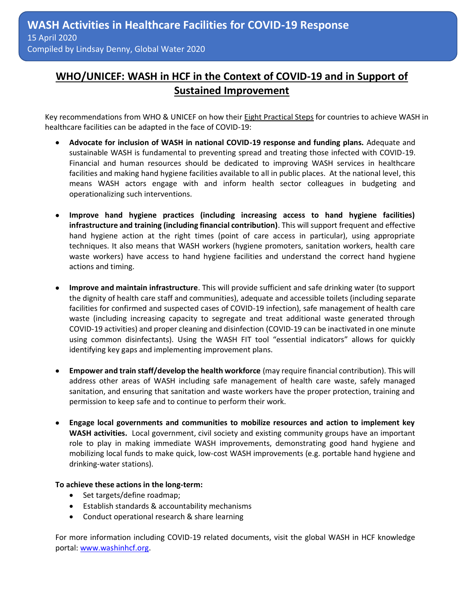# **WHO/UNICEF: WASH in HCF in the Context of COVID-19 and in Support of Sustained Improvement**

Key recommendations from WHO & UNICEF on how their **Eight Practical Steps** for countries to achieve WASH in healthcare facilities can be adapted in the face of COVID-19:

- **Advocate for inclusion of WASH in national COVID-19 response and funding plans.** Adequate and sustainable WASH is fundamental to preventing spread and treating those infected with COVID-19. Financial and human resources should be dedicated to improving WASH services in healthcare facilities and making hand hygiene facilities available to all in public places. At the national level, this means WASH actors engage with and inform health sector colleagues in budgeting and operationalizing such interventions.
- **Improve hand hygiene practices (including increasing access to hand hygiene facilities) infrastructure and training (including financial contribution)**. This will support frequent and effective hand hygiene action at the right times (point of care access in particular), using appropriate techniques. It also means that WASH workers (hygiene promoters, sanitation workers, health care waste workers) have access to hand hygiene facilities and understand the correct hand hygiene actions and timing.
- **Improve and maintain infrastructure**. This will provide sufficient and safe drinking water (to support the dignity of health care staff and communities), adequate and accessible toilets (including separate facilities for confirmed and suspected cases of COVID-19 infection), safe management of health care waste (including increasing capacity to segregate and treat additional waste generated through COVID-19 activities) and proper cleaning and disinfection (COVID-19 can be inactivated in one minute using common disinfectants). Using the WASH FIT tool "essential indicators" allows for quickly identifying key gaps and implementing improvement plans.
- **Empower and train staff/develop the health workforce** (may require financial contribution). This will address other areas of WASH including safe management of health care waste, safely managed sanitation, and ensuring that sanitation and waste workers have the proper protection, training and permission to keep safe and to continue to perform their work.
- **Engage local governments and communities to mobilize resources and action to implement key WASH activities.** Local government, civil society and existing community groups have an important role to play in making immediate WASH improvements, demonstrating good hand hygiene and mobilizing local funds to make quick, low-cost WASH improvements (e.g. portable hand hygiene and drinking-water stations).

#### **To achieve these actions in the long-term:**

- Set targets/define roadmap;
- Establish standards & accountability mechanisms
- Conduct operational research & share learning

For more information including COVID-19 related documents, visit the global WASH in HCF knowledge portal: [www.washinhcf.org.](http://www.washinhcf.org/)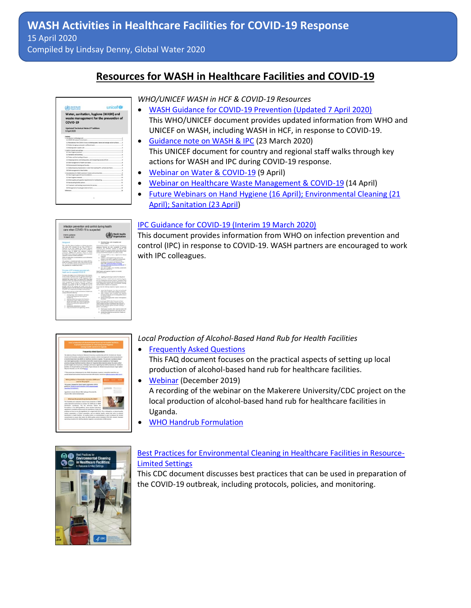### **Resources for WASH in Healthcare Facilities and COVID-19**

| Water, sanitation, hygiene (WASH) and<br>waste management for the prevention of<br><b>COVID-19</b>                                         |              |
|--------------------------------------------------------------------------------------------------------------------------------------------|--------------|
| Updated Technical Note-2 <sup>nd</sup> edition<br>6 April 2020                                                                             |              |
| Environment<br>1. Introduction and background<br>1.1 (CNO) 18 causes of transmission.                                                      | a<br>×       |
| 1.2 Rendelmon of the COSTS 18 since in Africans water. Same can't starge and on surfaces<br>1.3 lafels managing warmeater and forcal wide. | ×<br>٠       |
| 1.4 forestrain water complete sale                                                                                                         |              |
| 2. MADE in health care achieve.<br>2.1 Hand hugaran practices                                                                              |              |
| 2.2 Secretarian and plumbing                                                                                                               |              |
| 2.3 Tusters and the handling of Sanies                                                                                                     |              |
| 24 Emptying latitions and holding tunis, and hamperting exercis off-site                                                                   |              |
| 2.5 late management of health care waite.                                                                                                  |              |
| 14 Environmental choring and laundry                                                                                                       |              |
| 17 lably disening of groywater or water from washing FPE, surfaces and floors                                                              |              |
| J.B late transportant of deal kodes                                                                                                        |              |
| 5. Elementerations for Wildel prections in benew and someworkers<br>3.1 Fand Program general recommendations                               | ٠<br>×       |
| 3.3 Nord hughest materials                                                                                                                 | $\mathbf{r}$ |
| 5.3 Water quality and quantity requirements for handworking.                                                                               | ×            |
| 3.4 Handsweeking Techlic exhibits.                                                                                                         | E1           |
| 3.5 Transmore and hunding requirements for agreets.                                                                                        | Ħ            |
| 1.6 Management of works generated at fusine                                                                                                | 12           |
| Earliersmann,                                                                                                                              | <b>NA</b>    |

*WHO/UNICEF WASH in HCF & COVID-19 Resources*

- [WASH Guidance for COVID-19 Prevention \(Updated 7 April 2020\)](https://www.washinhcf.org/wp-content/uploads/2020/03/WHO_UNICEF_WASH_COVID19_EN_7April_Approved.pdf) This WHO/UNICEF document provides updated information from WHO and UNICEF on WASH, including WASH in HCF, in response to COVID-19.
- [Guidance note on WASH & IPC](https://www.unicef.org/media/66386/file/WASH-COVID-19-infection-prevention-and-control-in-health-care-facilities-2020.pdf) (23 March 2020) This UNICEF document for country and regional staff walks through key actions for WASH and IPC during COVID-19 response.
- [Webinar on Water & COVID-19](https://www.washinhcf.org/resource/covid-19-webinar-series-water/) (9 April)
- [Webinar on Healthcare Waste Management & COVID-19](https://www.washinhcf.org/resource/covid-19-webinar-series-hcwm/) (14 April)
- Future Webinars on Hand Hygiene (16 April); Environmental Cleaning (21 [April\); Sanitation \(23 April\)](https://www.washinhcf.org/wp-content/uploads/2020/04/WATER_WASHFIT__SEMINAR_SERIES_V1_ISSUE.pdf)

#### [IPC Guidance for COVID-19 \(Interim 19 March 2020\)](https://www.who.int/publications-detail/infection-prevention-and-control-during-health-care-when-novel-coronavirus-(ncov)-infection-is-suspected-20200125)

This document provides information from WHO on infection prevention and control (IPC) in response to COVID-19. WASH partners are encouraged to work with IPC colleagues.

| Infection prevention and control during health.<br>care when COVID-19 is suspected                                                                                                                                                                                                                                                                                                                                                                                                                                                                                                                                                                                                                                                                |                                                                                                                                                                                                                                                                                                                                                                                                                                                                                                                                                                                                                                                                                                                                                  |
|---------------------------------------------------------------------------------------------------------------------------------------------------------------------------------------------------------------------------------------------------------------------------------------------------------------------------------------------------------------------------------------------------------------------------------------------------------------------------------------------------------------------------------------------------------------------------------------------------------------------------------------------------------------------------------------------------------------------------------------------------|--------------------------------------------------------------------------------------------------------------------------------------------------------------------------------------------------------------------------------------------------------------------------------------------------------------------------------------------------------------------------------------------------------------------------------------------------------------------------------------------------------------------------------------------------------------------------------------------------------------------------------------------------------------------------------------------------------------------------------------------------|
| Interim-puidance<br>19 March 2020                                                                                                                                                                                                                                                                                                                                                                                                                                                                                                                                                                                                                                                                                                                 | held Health<br>roanization                                                                                                                                                                                                                                                                                                                                                                                                                                                                                                                                                                                                                                                                                                                       |
| batgrazd                                                                                                                                                                                                                                                                                                                                                                                                                                                                                                                                                                                                                                                                                                                                          | 1. Excertes misso, carlo increasting, and<br><b>AND CONTACT</b>                                                                                                                                                                                                                                                                                                                                                                                                                                                                                                                                                                                                                                                                                  |
| and control (IPC) strutupes for new orbers COVED-19 as<br>expected. It has been adapted from WOET+ feebolism<br>perceive ad cased during leads can be probably of<br>cabined case of Middle Fast engineers southern<br>conserves (MERKEV) introduc," hand us correc-<br>knowledge of the steatest and experience with screen acots.<br>trainable conditions (Stablis and MERS.)<br>\$100 mill system dans constituted that a new information<br>homes stability<br>This guidean is introdul for builds can tradiery (IR/We).<br>both can manager, and BR' tours at he facility level his<br>A is also relevant for national and abstick percental kriefs.<br>Full publican as a widely from Width?                                                | almost allows in only requires of position<br>COVEN-19 and intensions industries of potentia with<br>stage-red denner in or area seasony from other patients<br>(seen) years it. To he from the early identification of copyr<br>of sugarind COVID-19. hands care hadding should<br>memoran BCWs to have a high level of chistoal<br><b>KINDS RIGHT</b><br>whall that a work experience instead as the<br>٠<br>entropy to the facility, automatike majority and<br>leating the san of governing provisions and<br>٠<br>accelerate in the projections defeative. Phone<br>arke to the Lindsa Datterliness for June<br>attention with companies above ALLIS BA 2D for<br>and defeatures and<br>. And right in public areas transacting symptomatic |
| Principles of IPC strategies avenuited with<br>beauty cars for acanacted COVO, 19.                                                                                                                                                                                                                                                                                                                                                                                                                                                                                                                                                                                                                                                                | pension to also DCWs<br>Manuf Anglerie textil originated is hopping and insected<br>prevention moments.                                                                                                                                                                                                                                                                                                                                                                                                                                                                                                                                                                                                                                          |
| To achieve the highest level of effectiveness in the strip man<br>to the COVID-1P callered, string the strategies and practices<br>completely to the december on W. expenses with a<br>delivered and manual toyot or at long an IPC fund away.<br>dentifi by to place and experiments the national and business<br>axior recognises" is consum when \$97 a board at<br>instance. It is orbital to put by possing that at host<br>mission registrates for \$91, als in place as well as<br>possible, from at the natural and facility level, and in<br>productly perspect to the full achievement of all experiments.<br>of the ONC wate commences according to least minister."<br>BY strategies to provest at lost transitionist is boddly cars: | 1. Applying structural provestions for all painters<br>Resolved prescriptions trackable hand and respiratoria lingitime.<br>We are of summarizes painting production equipment of FES<br>protecting to a finite purchased children and in a series on and a<br>new meageant, prize bath, exclusively chairs,<br>and annitrames of paintenance agripment.<br>Encay that the Editoring manuscare business measures are<br>mi<br>٠<br>means that all patients arene than most and involt-<br>Artifa a disease of effects reflects colourbidge on structures.                                                                                                                                                                                        |
| antique on hole for following<br>1. counting lenge, just a monocities, and some 1.<br>camit instaling person, with morestal<br>CONTRACTOR<br>1 and ting resident presentions for all parts into<br>1. Well-moving crame address encaders<br>information and content costs, whenever applicable.<br>antures presenting it for seasonal more of<br>contracts and<br>A. Marketering administrative controls.<br>7. same an instrumental and engineering controls.                                                                                                                                                                                                                                                                                    | a offer a modest read to nature with seasonal<br>(17) (D.) I while they are in training public seven or<br>in a shorting means.<br>. pellos last hypes alla constitutionera<br><b>And Marketing</b><br>MCW: claudi spok WHI's My 7 Monem for Reef.<br>Hugaia: garoach belize waching a petent, lether ata-<br>cline of neight introduct is anythinged, after examine to<br>holy this, eller nonhing suistine, and also mainlag a<br>polarit's nationalizer."<br>. Isn't hopes include either channing bank with<br>as all chall based band rub or with a per and make<br>district investment who are well and of hands and<br>ad notes what the top                                                                                              |

*Local Production of Alcohol-Based Hand Rub for Health Facilities*

- [Frequently Asked Questions](https://www.washinhcf.org/wp-content/uploads/formidable/3/FAQs-ABHR-production.pdf) This FAQ document focuses on the practical aspects of setting up local production of alcohol-based hand rub for healthcare facilities.
- [Webinar](https://www.youtube.com/watch?v=M7rR6RZoONA) (December 2019) A recording of the webinar on the Makerere University/CDC project on the local production of alcohol-based hand rub for healthcare facilities in Uganda.
- [WHO Handrub Formulation](https://www.who.int/gpsc/5may/Guide_to_Local_Production.pdf)



#### [Best Practices for Environmental Cleaning in Healthcare Facilities in Resource-](https://www.cdc.gov/hai/pdfs/resource-limited/environmental-cleaning-508.pdf)[Limited Settings](https://www.cdc.gov/hai/pdfs/resource-limited/environmental-cleaning-508.pdf)

This CDC document discusses best practices that can be used in preparation of the COVID-19 outbreak, including protocols, policies, and monitoring.